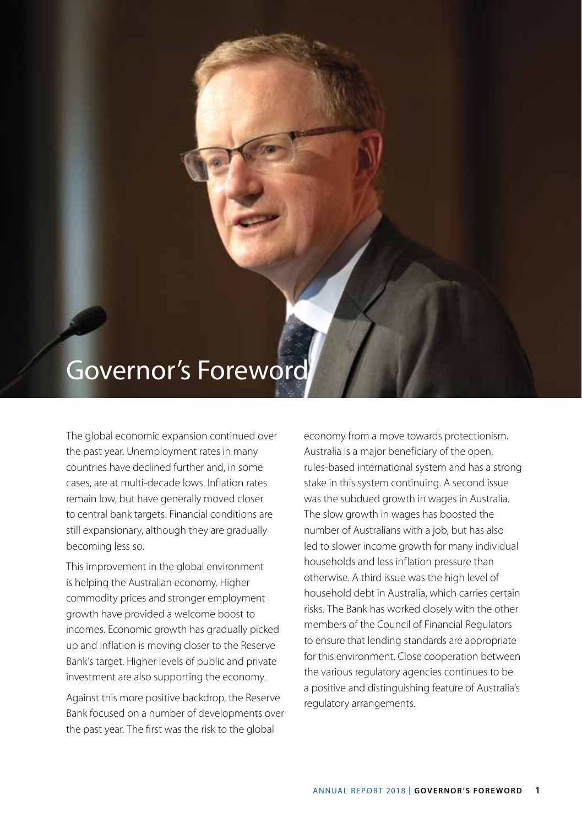## Governor's Foreword

The global economic expansion continued over the past year. Unemployment rates in many countries have declined further and, in some cases, are at multi-decade lows. Inflation rates remain low, but have generally moved closer to central bank targets. Financial conditions are still expansionary, although they are gradually becoming less so.

This improvement in the global environment is helping the Australian economy. Higher commodity prices and stronger employment growth have provided a welcome boost to incomes. Economic growth has gradually picked up and inflation is moving closer to the Reserve Bank's target. Higher levels of public and private investment are also supporting the economy.

Against this more positive backdrop, the Reserve Bank focused on a number of developments over the past year. The first was the risk to the global

economy from a move towards protectionism. Australia is a major beneficiary of the open, rules-based international system and has a strong stake in this system continuing. A second issue was the subdued growth in wages in Australia. The slow growth in wages has boosted the number of Australians with a job, but has also led to slower income growth for many individual households and less inflation pressure than otherwise. A third issue was the high level of household debt in Australia, which carries certain risks. The Bank has worked closely with the other members of the Council of Financial Regulators to ensure that lending standards are appropriate for this environment. Close cooperation between the various regulatory agencies continues to be a positive and distinguishing feature of Australia's regulatory arrangements.